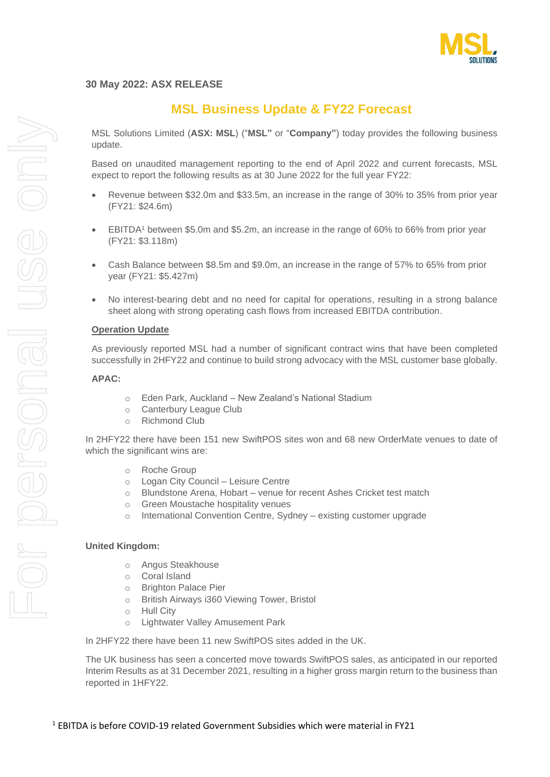

## **30 May 2022: ASX RELEASE**

# **MSL Business Update & FY22 Forecast**

MSL Solutions Limited (**ASX: MSL**) ("**MSL"** or "**Company"**) today provides the following business update.

Based on unaudited management reporting to the end of April 2022 and current forecasts, MSL expect to report the following results as at 30 June 2022 for the full year FY22:

- Revenue between \$32.0m and \$33.5m, an increase in the range of 30% to 35% from prior year (FY21: \$24.6m)
- EBITDA<sup>1</sup> between \$5.0m and \$5.2m, an increase in the range of 60% to 66% from prior year (FY21: \$3.118m)
- Cash Balance between \$8.5m and \$9.0m, an increase in the range of 57% to 65% from prior year (FY21: \$5.427m)
- No interest-bearing debt and no need for capital for operations, resulting in a strong balance sheet along with strong operating cash flows from increased EBITDA contribution.

### **Operation Update**

As previously reported MSL had a number of significant contract wins that have been completed successfully in 2HFY22 and continue to build strong advocacy with the MSL customer base globally.

#### **APAC:**

- o Eden Park, Auckland New Zealand's National Stadium
- o Canterbury League Club
- o Richmond Club

In 2HFY22 there have been 151 new SwiftPOS sites won and 68 new OrderMate venues to date of which the significant wins are:

- o Roche Group
- o Logan City Council Leisure Centre
- o Blundstone Arena, Hobart venue for recent Ashes Cricket test match
- o Green Moustache hospitality venues
- o International Convention Centre, Sydney existing customer upgrade

#### **United Kingdom:**

- o Angus Steakhouse
- o Coral Island
- o Brighton Palace Pier
- o British Airways i360 Viewing Tower, Bristol
- o Hull City
- o Lightwater Valley Amusement Park

In 2HFY22 there have been 11 new SwiftPOS sites added in the UK.

The UK business has seen a concerted move towards SwiftPOS sales, as anticipated in our reported Interim Results as at 31 December 2021, resulting in a higher gross margin return to the business than reported in 1HFY22.